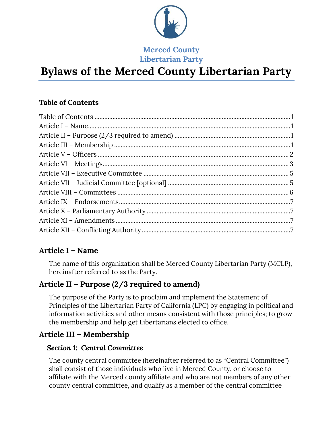

**Merced County Libertarian Party**

# **Bylaws of the Merced County Libertarian Party**

# <span id="page-0-0"></span>**Table of Contents**

# <span id="page-0-1"></span>**Article I – Name**

The name of this organization shall be Merced County Libertarian Party (MCLP), hereinafter referred to as the Party.

# <span id="page-0-2"></span>**Article II – Purpose (2/3 required to amend)**

The purpose of the Party is to proclaim and implement the Statement of Principles of the Libertarian Party of California (LPC) by engaging in political and information activities and other means consistent with those principles; to grow the membership and help get Libertarians elected to office.

# <span id="page-0-3"></span>**Article III – Membership**

### *Section 1: Central Committee*

The county central committee (hereinafter referred to as "Central Committee") shall consist of those individuals who live in Merced County, or choose to affiliate with the Merced county affiliate and who are not members of any other county central committee, and qualify as a member of the central committee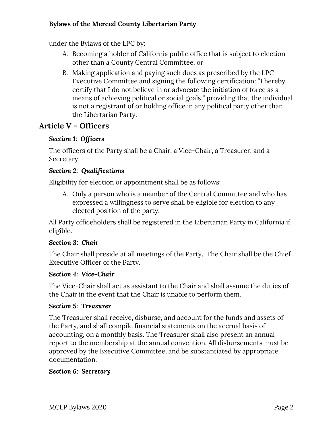under the Bylaws of the LPC by:

- A. Becoming a holder of California public office that is subject to election other than a County Central Committee, or
- B. Making application and paying such dues as prescribed by the LPC Executive Committee and signing the following certification: "I hereby certify that I do not believe in or advocate the initiation of force as a means of achieving political or social goals," providing that the individual is not a registrant of or holding office in any political party other than the Libertarian Party.

# <span id="page-1-0"></span>**Article V – Officers**

### *Section 1: Officers*

The officers of the Party shall be a Chair, a Vice-Chair, a Treasurer, and a Secretary.

#### *Section 2: Qualifications*

Eligibility for election or appointment shall be as follows:

A. Only a person who is a member of the Central Committee and who has expressed a willingness to serve shall be eligible for election to any elected position of the party.

All Party officeholders shall be registered in the Libertarian Party in California if eligible.

#### *Section 3: Chair*

The Chair shall preside at all meetings of the Party. The Chair shall be the Chief Executive Officer of the Party.

#### *Section 4: Vice-Chair*

The Vice-Chair shall act as assistant to the Chair and shall assume the duties of the Chair in the event that the Chair is unable to perform them.

#### *Section 5: Treasurer*

The Treasurer shall receive, disburse, and account for the funds and assets of the Party, and shall compile financial statements on the accrual basis of accounting, on a monthly basis. The Treasurer shall also present an annual report to the membership at the annual convention. All disbursements must be approved by the Executive Committee, and be substantiated by appropriate documentation.

#### *Section 6: Secretary*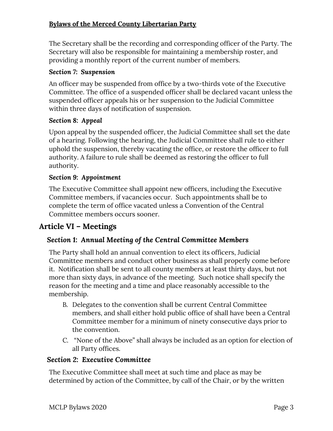The Secretary shall be the recording and corresponding officer of the Party. The Secretary will also be responsible for maintaining a membership roster, and providing a monthly report of the current number of members.

#### *Section 7: Suspension*

An officer may be suspended from office by a two-thirds vote of the Executive Committee. The office of a suspended officer shall be declared vacant unless the suspended officer appeals his or her suspension to the Judicial Committee within three days of notification of suspension.

#### *Section 8: Appeal*

Upon appeal by the suspended officer, the Judicial Committee shall set the date of a hearing. Following the hearing, the Judicial Committee shall rule to either uphold the suspension, thereby vacating the office, or restore the officer to full authority. A failure to rule shall be deemed as restoring the officer to full authority.

#### *Section 9: Appointment*

The Executive Committee shall appoint new officers, including the Executive Committee members, if vacancies occur. Such appointments shall be to complete the term of office vacated unless a Convention of the Central Committee members occurs sooner.

# <span id="page-2-0"></span>**Article VI – Meetings**

### *Section 1: Annual Meeting of the Central Committee Members*

The Party shall hold an annual convention to elect its officers, Judicial Committee members and conduct other business as shall properly come before it. Notification shall be sent to all county members at least thirty days, but not more than sixty days, in advance of the meeting. Such notice shall specify the reason for the meeting and a time and place reasonably accessible to the membership.

- B. Delegates to the convention shall be current Central Committee members, and shall either hold public office of shall have been a Central Committee member for a minimum of ninety consecutive days prior to the convention.
- C. "None of the Above" shall always be included as an option for election of all Party offices.

#### *Section 2: Executive Committee*

The Executive Committee shall meet at such time and place as may be determined by action of the Committee, by call of the Chair, or by the written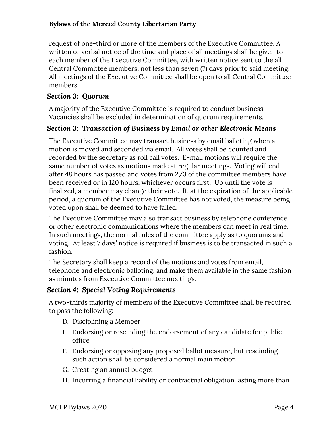request of one-third or more of the members of the Executive Committee. A written or verbal notice of the time and place of all meetings shall be given to each member of the Executive Committee, with written notice sent to the all Central Committee members, not less than seven (7) days prior to said meeting. All meetings of the Executive Committee shall be open to all Central Committee members.

# *Section 3: Quorum*

A majority of the Executive Committee is required to conduct business. Vacancies shall be excluded in determination of quorum requirements.

# *Section 3: Transaction of Business by Email or other Electronic Means*

The Executive Committee may transact business by email balloting when a motion is moved and seconded via email. All votes shall be counted and recorded by the secretary as roll call votes. E-mail motions will require the same number of votes as motions made at regular meetings. Voting will end after 48 hours has passed and votes from 2/3 of the committee members have been received or in 120 hours, whichever occurs first. Up until the vote is finalized, a member may change their vote. If, at the expiration of the applicable period, a quorum of the Executive Committee has not voted, the measure being voted upon shall be deemed to have failed.

The Executive Committee may also transact business by telephone conference or other electronic communications where the members can meet in real time. In such meetings, the normal rules of the committee apply as to quorums and voting. At least 7 days' notice is required if business is to be transacted in such a fashion.

The Secretary shall keep a record of the motions and votes from email, telephone and electronic balloting, and make them available in the same fashion as minutes from Executive Committee meetings.

# *Section 4: Special Voting Requirements*

A two-thirds majority of members of the Executive Committee shall be required to pass the following:

- D. Disciplining a Member
- E. Endorsing or rescinding the endorsement of any candidate for public office
- F. Endorsing or opposing any proposed ballot measure, but rescinding such action shall be considered a normal main motion
- G. Creating an annual budget
- H. Incurring a financial liability or contractual obligation lasting more than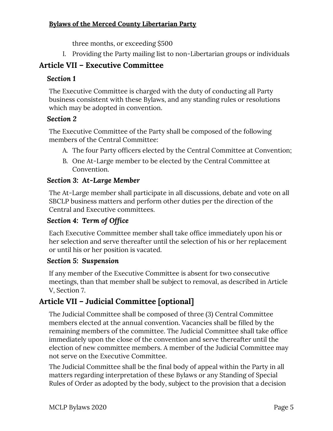three months, or exceeding \$500

I. Providing the Party mailing list to non-Libertarian groups or individuals

# <span id="page-4-0"></span>**Article VII – Executive Committee**

### *Section 1*

The Executive Committee is charged with the duty of conducting all Party business consistent with these Bylaws, and any standing rules or resolutions which may be adopted in convention.

### *Section 2*

The Executive Committee of the Party shall be composed of the following members of the Central Committee:

- A. The four Party officers elected by the Central Committee at Convention;
- B. One At-Large member to be elected by the Central Committee at Convention.

### *Section 3: At-Large Member*

The At-Large member shall participate in all discussions, debate and vote on all SBCLP business matters and perform other duties per the direction of the Central and Executive committees.

### *Section 4: Term of Office*

Each Executive Committee member shall take office immediately upon his or her selection and serve thereafter until the selection of his or her replacement or until his or her position is vacated.

### *Section 5: Suspension*

If any member of the Executive Committee is absent for two consecutive meetings, than that member shall be subject to removal, as described in Article V, Section 7.

# <span id="page-4-1"></span>**Article VII – Judicial Committee [optional]**

The Judicial Committee shall be composed of three (3) Central Committee members elected at the annual convention. Vacancies shall be filled by the remaining members of the committee. The Judicial Committee shall take office immediately upon the close of the convention and serve thereafter until the election of new committee members. A member of the Judicial Committee may not serve on the Executive Committee.

The Judicial Committee shall be the final body of appeal within the Party in all matters regarding interpretation of these Bylaws or any Standing of Special Rules of Order as adopted by the body, subject to the provision that a decision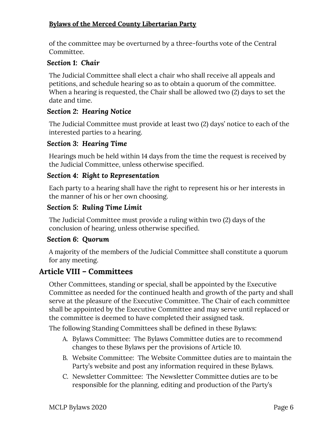of the committee may be overturned by a three-fourths vote of the Central Committee.

### *Section 1: Chair*

The Judicial Committee shall elect a chair who shall receive all appeals and petitions, and schedule hearing so as to obtain a quorum of the committee. When a hearing is requested, the Chair shall be allowed two (2) days to set the date and time.

### *Section 2: Hearing Notice*

The Judicial Committee must provide at least two (2) days' notice to each of the interested parties to a hearing.

### *Section 3: Hearing Time*

Hearings much be held within 14 days from the time the request is received by the Judicial Committee, unless otherwise specified.

### *Section 4: Right to Representation*

Each party to a hearing shall have the right to represent his or her interests in the manner of his or her own choosing.

### *Section 5: Ruling Time Limit*

The Judicial Committee must provide a ruling within two (2) days of the conclusion of hearing, unless otherwise specified.

### *Section 6: Quorum*

A majority of the members of the Judicial Committee shall constitute a quorum for any meeting.

# <span id="page-5-0"></span>**Article VIII – Committees**

Other Committees, standing or special, shall be appointed by the Executive Committee as needed for the continued health and growth of the party and shall serve at the pleasure of the Executive Committee. The Chair of each committee shall be appointed by the Executive Committee and may serve until replaced or the committee is deemed to have completed their assigned task.

The following Standing Committees shall be defined in these Bylaws:

- A. Bylaws Committee: The Bylaws Committee duties are to recommend changes to these Bylaws per the provisions of Article 10.
- B. Website Committee: The Website Committee duties are to maintain the Party's website and post any information required in these Bylaws.
- C. Newsletter Committee: The Newsletter Committee duties are to be responsible for the planning, editing and production of the Party's